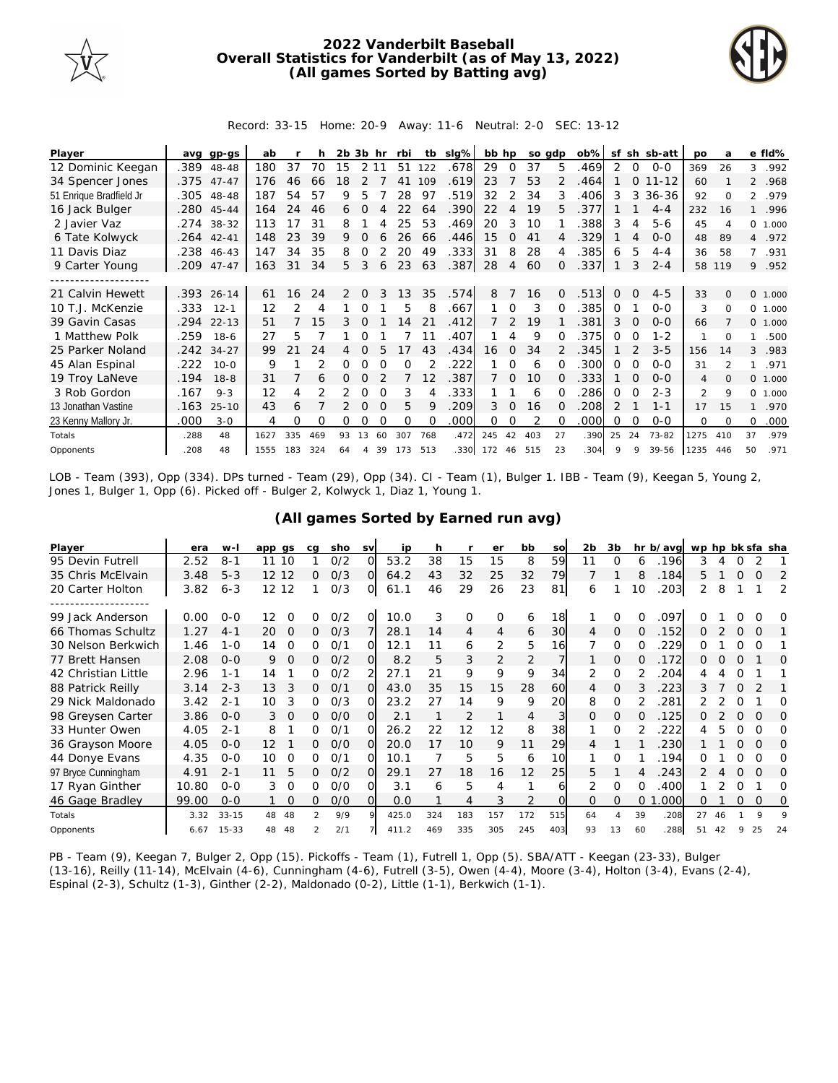

## **2022 Vanderbilt Baseball Overall Statistics for Vanderbilt (as of May 13, 2022) (All games Sorted by Batting avg)**



Record: 33-15 Home: 20-9 Away: 11-6 Neutral: 2-0 SEC: 13-12

| Player                  | avq  | gp-gs      | ab   |     | h   | 2b. | 3b       | hr       | rbi      | tb       | $slq\%$ | bb hp |                | so adp |              | $ob\%$ | sf            |          | sh sb-att | po             | a              |                | e fld%   |
|-------------------------|------|------------|------|-----|-----|-----|----------|----------|----------|----------|---------|-------|----------------|--------|--------------|--------|---------------|----------|-----------|----------------|----------------|----------------|----------|
| 12 Dominic Keegan       | .389 | 48-48      | 180  | 37  | 70  | 15  | 2 1 1    |          | 51       | 122      | .678    | 29    | 0              | 37     | 5            | .469   | 2             | 0        | $0 - 0$   | 369            | 26             | 3              | .992     |
| 34 Spencer Jones        |      | .375 47-47 | 176  | 46  | 66  | 18  |          |          | 41       | 109      | .619    | 23    |                | 53     |              | .464   |               | $\circ$  | $11 - 12$ | 60             |                |                | 2 .968   |
| 51 Enrique Bradfield Jr | .305 | 48-48      | 187  | 54  | 57  | 9   | 5        |          | 28       | 97       | 519     | 32    | 2              | 34     | 3            | 406    | 3             | 3        | $36 - 36$ | 92             | $\Omega$       | $\overline{2}$ | .979     |
| 16 Jack Bulger          | .280 | 45-44      | 164  | 24  | 46  | 6   | $\Omega$ | Δ        | 22       | 64       | .390    | 22    | $\overline{4}$ | 19     | 5            | .377   |               |          | $4 - 4$   | 232            | 16             | $\mathbf{1}$   | .996     |
| 2 Javier Vaz            |      | .274 38-32 | 113  | 17  | 31  | 8   |          |          | 25       | 53       | .469    | 20    | 3              | 10     |              | .388   | 3             | 4        | $5 - 6$   | 45             | $\overline{A}$ |                | 0, 1,000 |
| 6 Tate Kolwyck          | .264 | $42 - 41$  | 148  | 23  | 39  | 9   |          | 6        | 26       | 66       | .446    | 15    | $\Omega$       | 41     | 4            | 329    |               | 4        | $O-O$     | 48             | 89             |                | 4 .972   |
| 11 Davis Diaz           | .238 | 46-43      | 147  | 34  | 35  | 8   | 0        |          | 20       | 49       | .333    | 31    | 8              | 28     | 4            | .385   | 6             | 5        | $4 - 4$   | 36             | 58             | $7^{\circ}$    | .931     |
| 9 Carter Young          | .209 | $47 - 47$  | 163  | 31  | 34  | 5.  | 3        | 6        | 23       | 63       | .387    | 28    | 4              | 60     | 0            | .337   |               | 3        | $2 - 4$   | 58             | 119            | 9.             | .952     |
|                         |      |            |      |     |     |     |          |          |          |          |         |       |                |        |              |        |               |          |           |                |                |                |          |
| 21 Calvin Hewett        |      | .393 26-14 | 61   | 16  | 24  | 2   | $\Omega$ | 3        | 13       | 35       | .574    | 8     |                | 16     | $\Omega$     | .513   | $\Omega$      | $\Omega$ | $4 - 5$   | 33             | $\Omega$       |                | 0 1.000  |
| 10 T.J. McKenzie        | .333 | $12 - 1$   | 12   | 2   | 4   |     | 0        |          | 5        | 8        | .667    |       | $\Omega$       | 3      | $\Omega$     | .385   | $\Omega$      |          | $0 - 0$   | 3              | $\Omega$       |                | 0, 1,000 |
| 39 Gavin Casas          | .294 | $22 - 13$  | 51   |     | 15  | 3   |          |          | 14       | 21       | .412    |       |                | 19     |              | .381   | 3             | $\Omega$ | $0 - 0$   | 66             |                |                | 0, 1,000 |
| 1 Matthew Polk          | .259 | $18-6$     | 27   | 5   |     |     | 0        |          |          |          | .407    |       | 4              | 9      | O            | 375    | 0             | O        | $1 - 2$   |                | $\Omega$       | 1.             | .500     |
| 25 Parker Noland        | .242 | $34 - 27$  | 99   |     | 24  | 4   | $\Omega$ | 5        | 17       | 43       | .434    | 16    | $\Omega$       | 34     |              | .345   |               |          | $3 - 5$   | 156            | 14             | 3              | .983     |
| 45 Alan Espinal         | .222 | $10 - 0$   | 9    |     |     | 0   | ∩        | ∩        | O        |          | 222     |       | $\Omega$       | 6      | O            | .300   | $\Omega$      | $\Omega$ | $0 - 0$   | 31             | $\mathcal{P}$  | 1.             | .971     |
| 19 Troy LaNeve          | .194 | $18 - 8$   | 31   |     | 6   | 0   | 0        |          |          | 12       | 387     |       | $\Omega$       | 10     | <sup>o</sup> | .333   |               | O        | $O-O$     | 4              | $\Omega$       |                | 0 1.000  |
| 3 Rob Gordon            | .167 | $9 - 3$    | 12   | 4   |     |     | 0        | $\Omega$ | 3        |          | .333    |       |                | 6      | O            | 286    | $\Omega$      | O        | $2 - 3$   | $\mathfrak{D}$ | 9              |                | 0 1.000  |
| 13 Jonathan Vastine     | .163 | $25 - 10$  | 43   | 6   |     |     | $\Omega$ | $\Omega$ | 5        | 9        | .209    | 3     | $\Omega$       | 16     | O.           | .208   | $\mathcal{P}$ |          | $1 - 1$   | 17             | 15             | $\mathbf{1}$   | .970     |
| 23 Kenny Mallory Jr.    | .000 | $3 - 0$    | 4    | Ω   | O   | Ω   | Ω        |          | $\Omega$ | $\Omega$ | .000    | Ω     |                | 2      | O            | .000   | ∩             | $\Omega$ | $0 - 0$   | 0              | $\Omega$       | 0              | .000     |
| Totals                  | .288 | 48         | 1627 | 335 | 469 | 93  | 13       | 60       | 307      | 768      | .472    | 245   | 42             | 403    | 27           | .390   | 25            | 24       | 73-82     | 1275           | 410            | 37             | .979     |
| Opponents               | .208 | 48         | 1555 | 183 | 324 | 64  | 4        | 39       | 173      | 513      | .330    | 172   |                | 46 515 | 23           | 304    | 9             | $\circ$  | 39-56     | 1235           | 446            | 50             | .971     |

LOB - Team (393), Opp (334). DPs turned - Team (29), Opp (34). CI - Team (1), Bulger 1. IBB - Team (9), Keegan 5, Young 2, Jones 1, Bulger 1, Opp (6). Picked off - Bulger 2, Kolwyck 1, Diaz 1, Young 1.

|  |  | (All games Sorted by Earned run avg) |  |  |
|--|--|--------------------------------------|--|--|
|  |  |                                      |  |  |

| Player              | era   | $W -$     | app gs            |          | ca            | sho | <b>SV</b> | ip    | h   |                | er       | bb  | SO  | 2 <sub>b</sub> | 3b       |          | hr b/avg | wp hp bk sfa sha |    |          |          |          |
|---------------------|-------|-----------|-------------------|----------|---------------|-----|-----------|-------|-----|----------------|----------|-----|-----|----------------|----------|----------|----------|------------------|----|----------|----------|----------|
| 95 Devin Futrell    | 2.52  | $8 - 1$   | 11                | 10       |               | 0/2 | O         | 53.2  | 38  | 15             | 15       | 8   | 59  | 11             | $\Omega$ | 6        | 196      | 3                |    |          |          |          |
| 35 Chris McElvain   | 3.48  | $5 - 3$   | 12 12             |          | 0             | O/3 | $\Omega$  | 64.2  | 43  | 32             | 25       | 32  | 79  |                |          | 8        | .184     | 5.               |    | $\Omega$ | O        | 2        |
| 20 Carter Holton    | 3.82  | $6 - 3$   | $12 \overline{ }$ | 12       |               | O/3 | O         | 61.1  | 46  | 29             | 26       | 23  | 81  | 6              |          | 10       | 203      | 2                | 8  |          |          | 2        |
|                     |       |           |                   |          |               |     |           |       |     |                |          |     |     |                |          |          |          |                  |    |          |          |          |
| 99 Jack Anderson    | 0.00  | $O-O$     | 12                | Ω        | Ω             | O/2 | $\Omega$  | 10.0  | 3   | 0              | $\Omega$ | 6   | 18  |                | Ω        |          | .097     |                  |    |          |          | O        |
| 66 Thomas Schultz   | 1.27  | $4 - 1$   | 20                | $\Omega$ | 0             | O/3 |           | 28.1  | 14  | $\overline{4}$ | 4        | 6   | 30  | 4              | $\Omega$ | 0        | .152     | 0                |    | $\Omega$ | $\Omega$ |          |
| 30 Nelson Berkwich  | 1.46  | $1 - 0$   | 14                | $\Omega$ | 0             | 0/1 | $\Omega$  | 12.1  | 11  | 6              | 2        | 5   | 16  |                | $\Omega$ |          | 229      | ∩                |    |          | $\Omega$ |          |
| 77 Brett Hansen     | 2.08  | $O - O$   | 9                 | $\Omega$ | 0             | O/2 | O.        | 8.2   | 5   | 3              | 2        | 2   |     |                | $\Omega$ | $\Omega$ | 172      | 0                |    | $\Omega$ |          | Ω        |
| 42 Christian Little | 2.96  | $1 - 1$   | 14                |          | 0             | 0/2 |           | 27.1  | 21  | 9              | 9        | 9   | 34  | 2              | $\Omega$ |          | 204      | 4                |    | O        |          |          |
| 88 Patrick Reilly   | 3.14  | $2 - 3$   | 13                | 3        | Ω.            | O/1 | Ω         | 43.0  | 35  | 15             | 15       | 28  | 60  | 4              | $\Omega$ |          | 223      | 3                |    |          |          |          |
| 29 Nick Maldonado   | 3.42  | $2 - 1$   | 10                | 3        | 0             | 0/3 | $\Omega$  | 23.2  | 27  | 14             | 9        | 9   | 20  | 8              | $\Omega$ |          | 281      |                  |    |          |          | Ω        |
| 98 Greysen Carter   | 3.86  | $0 - 0$   | 3                 | $\Omega$ | 0             | O/O | $\Omega$  | 2.1   |     | $\overline{2}$ |          | 4   | 3   | $\Omega$       | $\Omega$ |          | 125      |                  |    | $\Omega$ | $\Omega$ | $\Omega$ |
| 33 Hunter Owen      | 4.05  | $2 - 1$   | 8                 |          | 0             | O/1 | O         | 26.2  | 22  | 12             | 12       | 8   | 38  |                | $\Omega$ |          | 222      |                  | 5  | 0        | 0        | Ω        |
| 36 Grayson Moore    | 4.05  | $O - O$   | 12                |          | 0             | O/O | Ω         | 20.0  | 17  | 10             | 9        | 11  | 29  |                |          |          | 230      |                  |    | O        | $\Omega$ | O        |
| 44 Donye Evans      | 4.35  | $0 - 0$   | 10                | 0        | 0             | O/1 | O         | 10.1  |     | 5              | 5        | 6   | 10  |                | $\Omega$ |          | 194      | Ω                |    | Ω        | ∩        | 0        |
| 97 Bryce Cunningham | 4.91  | $2 - 1$   | 11                | 5        | 0             | 0/2 | $\Omega$  | 29.1  | 27  | 18             | 16       | 12  | 25  | 5.             |          |          | 243      |                  |    | $\Omega$ | $\Omega$ | $\Omega$ |
| 17 Ryan Ginther     | 10.80 | $0 - 0$   | 3                 | $\Omega$ | 0             | O/O | O         | 3.1   | 6   | 5              | 4        |     | 6   | 2              | $\Omega$ | 0        | 400      |                  |    | O        |          | Ω        |
| 46 Gage Bradley     | 99.00 | $0 - 0$   |                   | $\Omega$ | 0             | O/O | Ω         | 0.0   |     | 4              | 3        | 2   |     | $\Omega$       | $\Omega$ | $\Omega$ | .000     | 0                |    | 0        | 0        | 0        |
| Totals              | 3.32  | $33 - 15$ | 48                | 48       | $\mathcal{P}$ | 9/9 |           | 425.0 | 324 | 183            | 157      | 172 | 515 | 64             | Δ        | 39       | .208     | 27               | 46 |          | $\circ$  | O        |
| Opponents           | 6.67  | $15 - 33$ | 48                | 48       |               | 2/1 |           | 411.2 | 469 | 335            | 305      | 245 | 403 | 93             | 13       | 60       | .288     | 51               | 42 |          | 25       | 24       |

PB - Team (9), Keegan 7, Bulger 2, Opp (15). Pickoffs - Team (1), Futrell 1, Opp (5). SBA/ATT - Keegan (23-33), Bulger (13-16), Reilly (11-14), McElvain (4-6), Cunningham (4-6), Futrell (3-5), Owen (4-4), Moore (3-4), Holton (3-4), Evans (2-4), Espinal (2-3), Schultz (1-3), Ginther (2-2), Maldonado (0-2), Little (1-1), Berkwich (1-1).